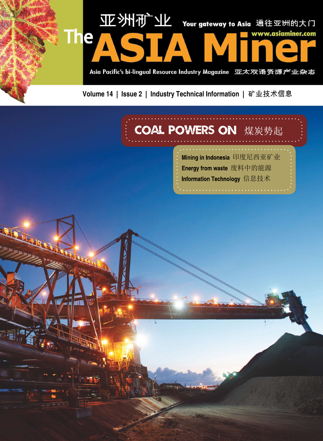